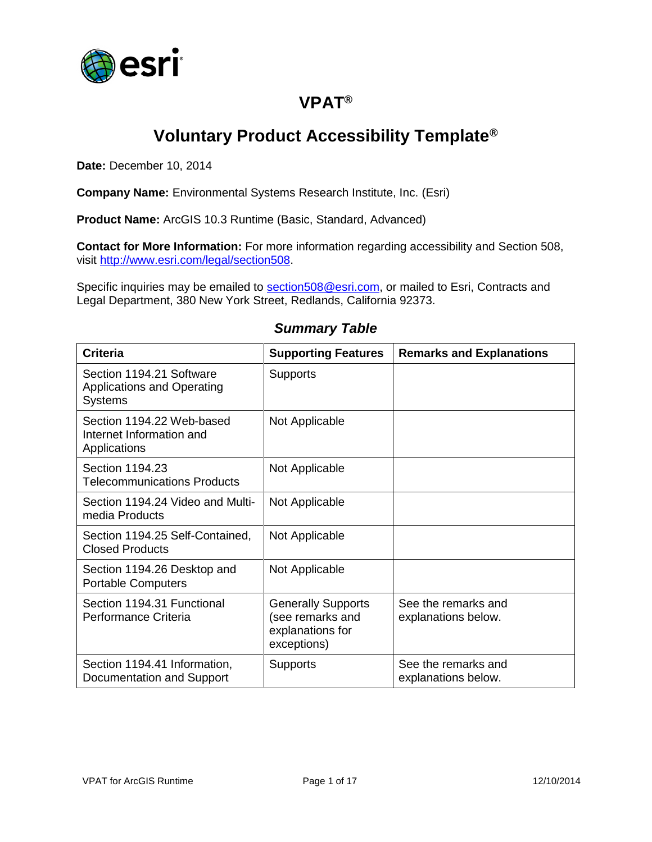

# **VPAT®**

# **Voluntary Product Accessibility Template®**

**Date:** December 10, 2014

**Company Name:** Environmental Systems Research Institute, Inc. (Esri)

**Product Name:** ArcGIS 10.3 Runtime (Basic, Standard, Advanced)

**Contact for More Information:** For more information regarding accessibility and Section 508, visit [http://www.esri.com/legal/section508.](http://www.esri.com/legal/section508)

Specific inquiries may be emailed to [section508@esri.com,](mailto:section508@esri.com) or mailed to Esri, Contracts and Legal Department, 380 New York Street, Redlands, California 92373.

| <b>Criteria</b>                                                                 | <b>Supporting Features</b>                                                       | <b>Remarks and Explanations</b>            |
|---------------------------------------------------------------------------------|----------------------------------------------------------------------------------|--------------------------------------------|
| Section 1194.21 Software<br><b>Applications and Operating</b><br><b>Systems</b> | <b>Supports</b>                                                                  |                                            |
| Section 1194.22 Web-based<br>Internet Information and<br>Applications           | Not Applicable                                                                   |                                            |
| Section 1194.23<br><b>Telecommunications Products</b>                           | Not Applicable                                                                   |                                            |
| Section 1194.24 Video and Multi-<br>media Products                              | Not Applicable                                                                   |                                            |
| Section 1194.25 Self-Contained,<br><b>Closed Products</b>                       | Not Applicable                                                                   |                                            |
| Section 1194.26 Desktop and<br><b>Portable Computers</b>                        | Not Applicable                                                                   |                                            |
| Section 1194.31 Functional<br>Performance Criteria                              | <b>Generally Supports</b><br>(see remarks and<br>explanations for<br>exceptions) | See the remarks and<br>explanations below. |
| Section 1194.41 Information,<br>Documentation and Support                       | <b>Supports</b>                                                                  | See the remarks and<br>explanations below. |

#### *Summary Table*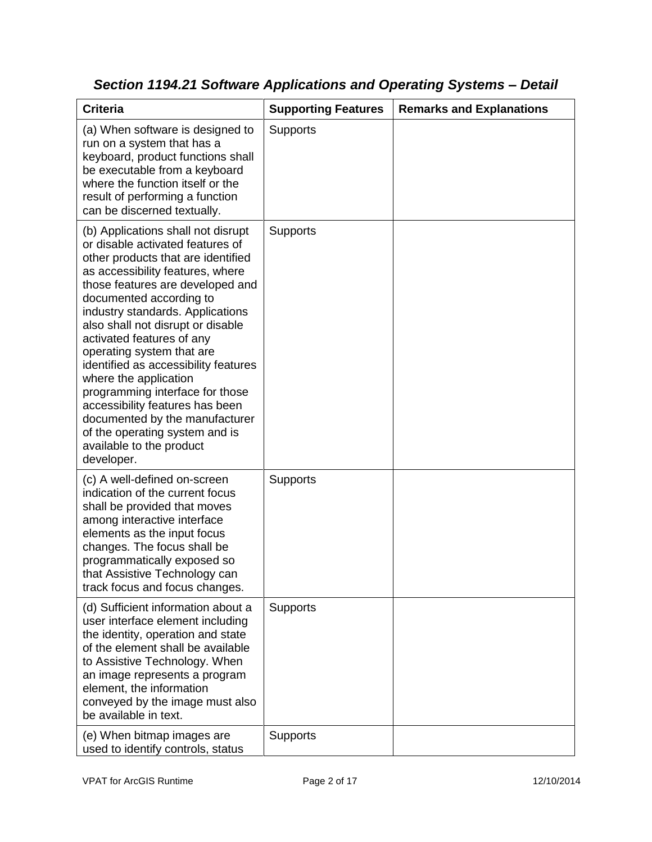| <b>Criteria</b>                                                                                                                                                                                                                                                                                                                                                                                                                                                                                                                                                                                         | <b>Supporting Features</b> | <b>Remarks and Explanations</b> |
|---------------------------------------------------------------------------------------------------------------------------------------------------------------------------------------------------------------------------------------------------------------------------------------------------------------------------------------------------------------------------------------------------------------------------------------------------------------------------------------------------------------------------------------------------------------------------------------------------------|----------------------------|---------------------------------|
| (a) When software is designed to<br>run on a system that has a<br>keyboard, product functions shall<br>be executable from a keyboard<br>where the function itself or the<br>result of performing a function<br>can be discerned textually.                                                                                                                                                                                                                                                                                                                                                              | <b>Supports</b>            |                                 |
| (b) Applications shall not disrupt<br>or disable activated features of<br>other products that are identified<br>as accessibility features, where<br>those features are developed and<br>documented according to<br>industry standards. Applications<br>also shall not disrupt or disable<br>activated features of any<br>operating system that are<br>identified as accessibility features<br>where the application<br>programming interface for those<br>accessibility features has been<br>documented by the manufacturer<br>of the operating system and is<br>available to the product<br>developer. | Supports                   |                                 |
| (c) A well-defined on-screen<br>indication of the current focus<br>shall be provided that moves<br>among interactive interface<br>elements as the input focus<br>changes. The focus shall be<br>programmatically exposed so<br>that Assistive Technology can<br>track focus and focus changes.                                                                                                                                                                                                                                                                                                          | <b>Supports</b>            |                                 |
| (d) Sufficient information about a<br>user interface element including<br>the identity, operation and state<br>of the element shall be available<br>to Assistive Technology. When<br>an image represents a program<br>element, the information<br>conveyed by the image must also<br>be available in text.                                                                                                                                                                                                                                                                                              | <b>Supports</b>            |                                 |
| (e) When bitmap images are<br>used to identify controls, status                                                                                                                                                                                                                                                                                                                                                                                                                                                                                                                                         | Supports                   |                                 |

*Section 1194.21 Software Applications and Operating Systems – Detail*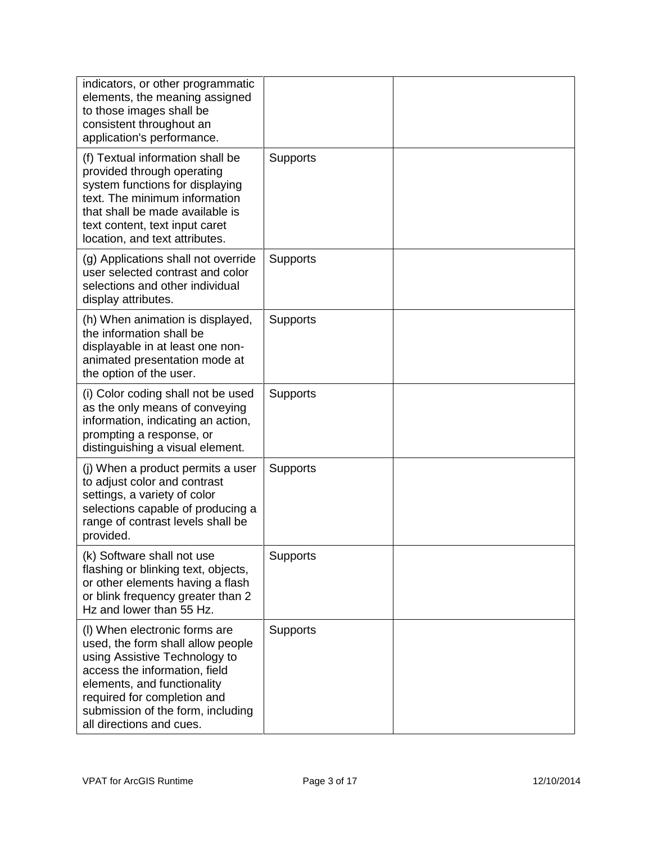| indicators, or other programmatic<br>elements, the meaning assigned<br>to those images shall be<br>consistent throughout an<br>application's performance.                                                                                                           |                 |  |
|---------------------------------------------------------------------------------------------------------------------------------------------------------------------------------------------------------------------------------------------------------------------|-----------------|--|
| (f) Textual information shall be<br>provided through operating<br>system functions for displaying<br>text. The minimum information<br>that shall be made available is<br>text content, text input caret<br>location, and text attributes.                           | <b>Supports</b> |  |
| (g) Applications shall not override<br>user selected contrast and color<br>selections and other individual<br>display attributes.                                                                                                                                   | <b>Supports</b> |  |
| (h) When animation is displayed,<br>the information shall be<br>displayable in at least one non-<br>animated presentation mode at<br>the option of the user.                                                                                                        | <b>Supports</b> |  |
| (i) Color coding shall not be used<br>as the only means of conveying<br>information, indicating an action,<br>prompting a response, or<br>distinguishing a visual element.                                                                                          | <b>Supports</b> |  |
| (j) When a product permits a user<br>to adjust color and contrast<br>settings, a variety of color<br>selections capable of producing a<br>range of contrast levels shall be<br>provided.                                                                            | <b>Supports</b> |  |
| (k) Software shall not use<br>flashing or blinking text, objects,<br>or other elements having a flash<br>or blink frequency greater than 2<br>Hz and lower than 55 Hz.                                                                                              | <b>Supports</b> |  |
| (I) When electronic forms are<br>used, the form shall allow people<br>using Assistive Technology to<br>access the information, field<br>elements, and functionality<br>required for completion and<br>submission of the form, including<br>all directions and cues. | <b>Supports</b> |  |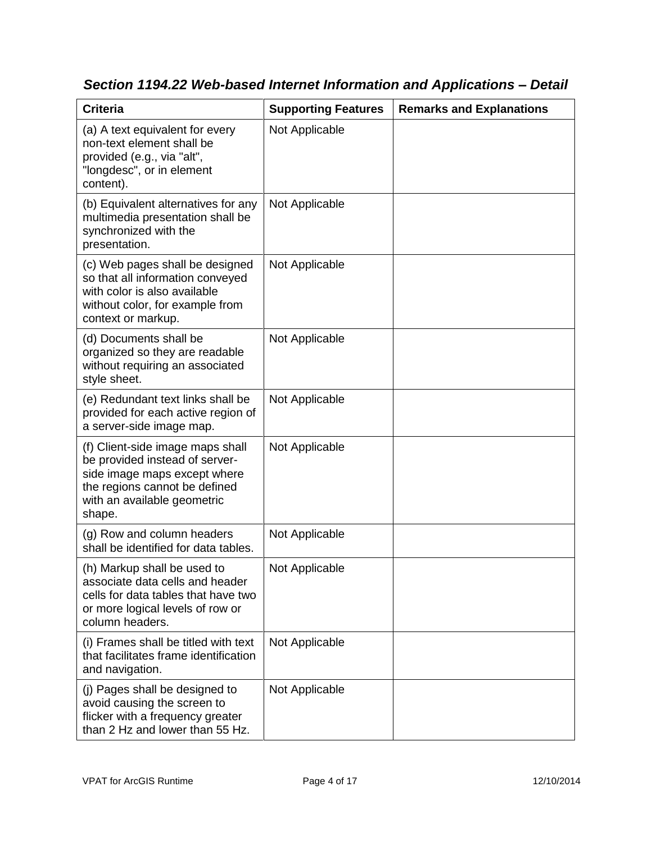| <b>Criteria</b>                                                                                                                                                              | <b>Supporting Features</b> | <b>Remarks and Explanations</b> |
|------------------------------------------------------------------------------------------------------------------------------------------------------------------------------|----------------------------|---------------------------------|
| (a) A text equivalent for every<br>non-text element shall be<br>provided (e.g., via "alt",<br>"longdesc", or in element<br>content).                                         | Not Applicable             |                                 |
| (b) Equivalent alternatives for any<br>multimedia presentation shall be<br>synchronized with the<br>presentation.                                                            | Not Applicable             |                                 |
| (c) Web pages shall be designed<br>so that all information conveyed<br>with color is also available<br>without color, for example from<br>context or markup.                 | Not Applicable             |                                 |
| (d) Documents shall be<br>organized so they are readable<br>without requiring an associated<br>style sheet.                                                                  | Not Applicable             |                                 |
| (e) Redundant text links shall be<br>provided for each active region of<br>a server-side image map.                                                                          | Not Applicable             |                                 |
| (f) Client-side image maps shall<br>be provided instead of server-<br>side image maps except where<br>the regions cannot be defined<br>with an available geometric<br>shape. | Not Applicable             |                                 |
| (g) Row and column headers<br>shall be identified for data tables.                                                                                                           | Not Applicable             |                                 |
| (h) Markup shall be used to<br>associate data cells and header<br>cells for data tables that have two<br>or more logical levels of row or<br>column headers.                 | Not Applicable             |                                 |
| (i) Frames shall be titled with text<br>that facilitates frame identification<br>and navigation.                                                                             | Not Applicable             |                                 |
| (j) Pages shall be designed to<br>avoid causing the screen to<br>flicker with a frequency greater<br>than 2 Hz and lower than 55 Hz.                                         | Not Applicable             |                                 |

*Section 1194.22 Web-based Internet Information and Applications – Detail*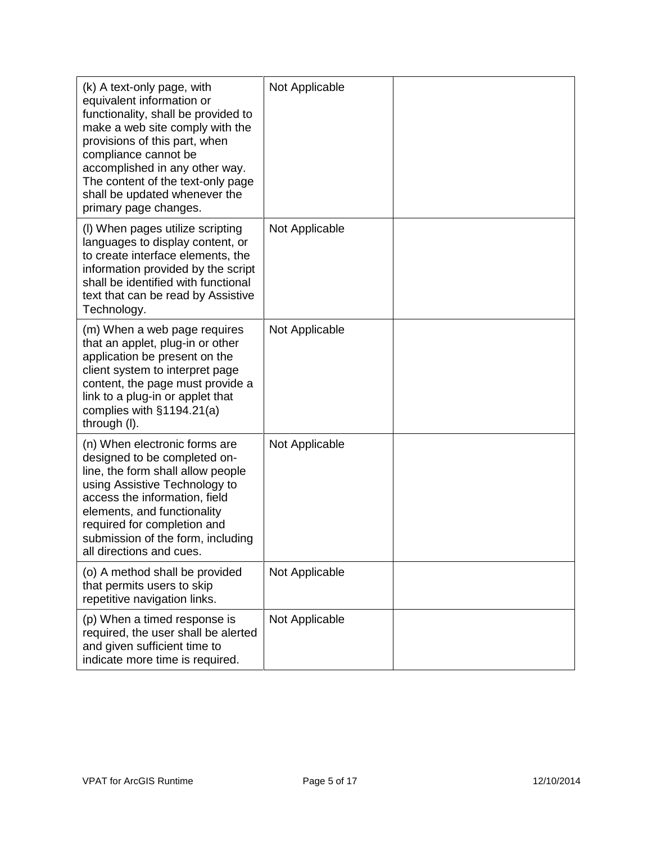| (k) A text-only page, with<br>equivalent information or<br>functionality, shall be provided to<br>make a web site comply with the<br>provisions of this part, when<br>compliance cannot be<br>accomplished in any other way.<br>The content of the text-only page<br>shall be updated whenever the<br>primary page changes. | Not Applicable |  |
|-----------------------------------------------------------------------------------------------------------------------------------------------------------------------------------------------------------------------------------------------------------------------------------------------------------------------------|----------------|--|
| (I) When pages utilize scripting<br>languages to display content, or<br>to create interface elements, the<br>information provided by the script<br>shall be identified with functional<br>text that can be read by Assistive<br>Technology.                                                                                 | Not Applicable |  |
| (m) When a web page requires<br>that an applet, plug-in or other<br>application be present on the<br>client system to interpret page<br>content, the page must provide a<br>link to a plug-in or applet that<br>complies with §1194.21(a)<br>through (I).                                                                   | Not Applicable |  |
| (n) When electronic forms are<br>designed to be completed on-<br>line, the form shall allow people<br>using Assistive Technology to<br>access the information, field<br>elements, and functionality<br>required for completion and<br>submission of the form, including<br>all directions and cues.                         | Not Applicable |  |
| (o) A method shall be provided<br>that permits users to skip<br>repetitive navigation links.                                                                                                                                                                                                                                | Not Applicable |  |
| (p) When a timed response is<br>required, the user shall be alerted<br>and given sufficient time to<br>indicate more time is required.                                                                                                                                                                                      | Not Applicable |  |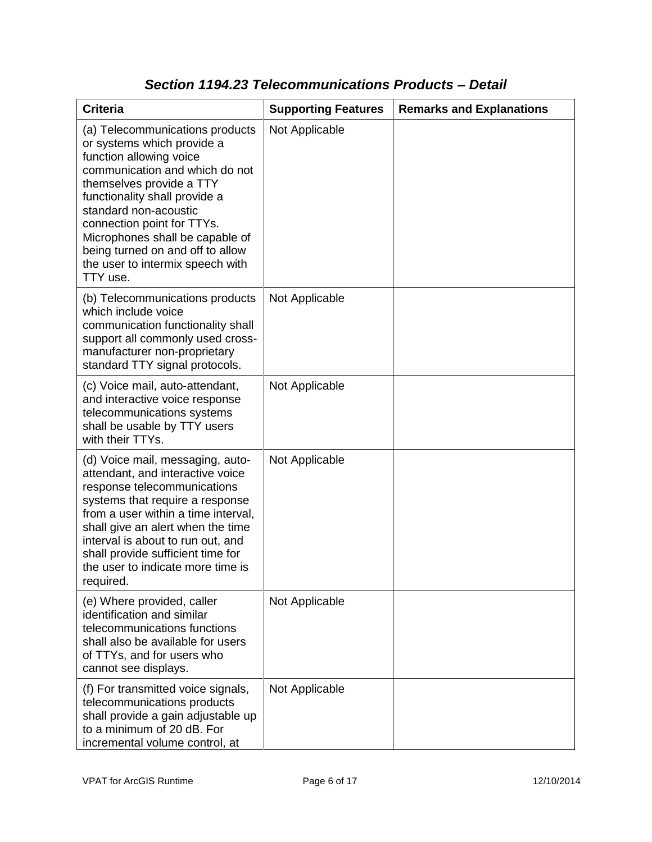| <b>Criteria</b>                                                                                                                                                                                                                                                                                                                                                       | <b>Supporting Features</b> | <b>Remarks and Explanations</b> |
|-----------------------------------------------------------------------------------------------------------------------------------------------------------------------------------------------------------------------------------------------------------------------------------------------------------------------------------------------------------------------|----------------------------|---------------------------------|
| (a) Telecommunications products<br>or systems which provide a<br>function allowing voice<br>communication and which do not<br>themselves provide a TTY<br>functionality shall provide a<br>standard non-acoustic<br>connection point for TTYs.<br>Microphones shall be capable of<br>being turned on and off to allow<br>the user to intermix speech with<br>TTY use. | Not Applicable             |                                 |
| (b) Telecommunications products<br>which include voice<br>communication functionality shall<br>support all commonly used cross-<br>manufacturer non-proprietary<br>standard TTY signal protocols.                                                                                                                                                                     | Not Applicable             |                                 |
| (c) Voice mail, auto-attendant,<br>and interactive voice response<br>telecommunications systems<br>shall be usable by TTY users<br>with their TTYs.                                                                                                                                                                                                                   | Not Applicable             |                                 |
| (d) Voice mail, messaging, auto-<br>attendant, and interactive voice<br>response telecommunications<br>systems that require a response<br>from a user within a time interval,<br>shall give an alert when the time<br>interval is about to run out, and<br>shall provide sufficient time for<br>the user to indicate more time is<br>required.                        | Not Applicable             |                                 |
| (e) Where provided, caller<br>identification and similar<br>telecommunications functions<br>shall also be available for users<br>of TTYs, and for users who<br>cannot see displays.                                                                                                                                                                                   | Not Applicable             |                                 |
| (f) For transmitted voice signals,<br>telecommunications products<br>shall provide a gain adjustable up<br>to a minimum of 20 dB. For<br>incremental volume control, at                                                                                                                                                                                               | Not Applicable             |                                 |

### *Section 1194.23 Telecommunications Products – Detail*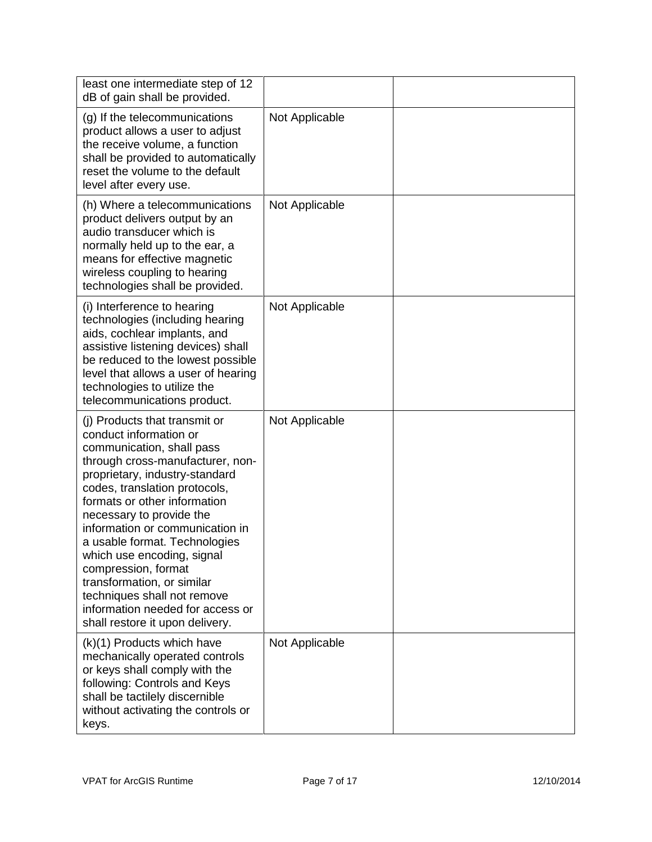| least one intermediate step of 12<br>dB of gain shall be provided.                                                                                                                                                                                                                                                                                                                                                                                                                                                   |                |  |
|----------------------------------------------------------------------------------------------------------------------------------------------------------------------------------------------------------------------------------------------------------------------------------------------------------------------------------------------------------------------------------------------------------------------------------------------------------------------------------------------------------------------|----------------|--|
| (g) If the telecommunications<br>product allows a user to adjust<br>the receive volume, a function<br>shall be provided to automatically<br>reset the volume to the default<br>level after every use.                                                                                                                                                                                                                                                                                                                | Not Applicable |  |
| (h) Where a telecommunications<br>product delivers output by an<br>audio transducer which is<br>normally held up to the ear, a<br>means for effective magnetic<br>wireless coupling to hearing<br>technologies shall be provided.                                                                                                                                                                                                                                                                                    | Not Applicable |  |
| (i) Interference to hearing<br>technologies (including hearing<br>aids, cochlear implants, and<br>assistive listening devices) shall<br>be reduced to the lowest possible<br>level that allows a user of hearing<br>technologies to utilize the<br>telecommunications product.                                                                                                                                                                                                                                       | Not Applicable |  |
| (i) Products that transmit or<br>conduct information or<br>communication, shall pass<br>through cross-manufacturer, non-<br>proprietary, industry-standard<br>codes, translation protocols,<br>formats or other information<br>necessary to provide the<br>information or communication in<br>a usable format. Technologies<br>which use encoding, signal<br>compression, format<br>transformation, or similar<br>techniques shall not remove<br>information needed for access or<br>shall restore it upon delivery. | Not Applicable |  |
| (k)(1) Products which have<br>mechanically operated controls<br>or keys shall comply with the<br>following: Controls and Keys<br>shall be tactilely discernible<br>without activating the controls or<br>keys.                                                                                                                                                                                                                                                                                                       | Not Applicable |  |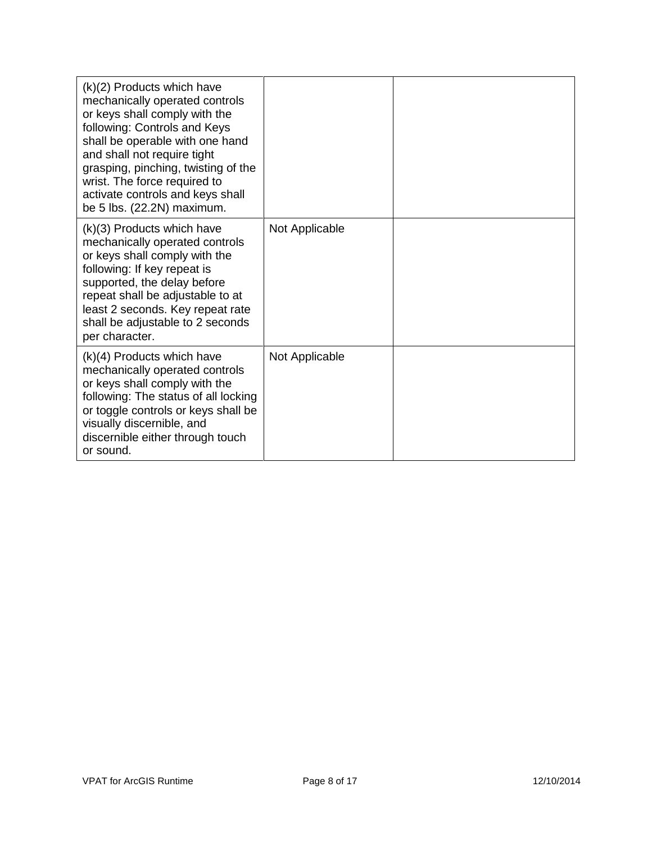| $(k)(2)$ Products which have<br>mechanically operated controls<br>or keys shall comply with the<br>following: Controls and Keys<br>shall be operable with one hand<br>and shall not require tight<br>grasping, pinching, twisting of the<br>wrist. The force required to<br>activate controls and keys shall<br>be 5 lbs. (22.2N) maximum. |                |  |
|--------------------------------------------------------------------------------------------------------------------------------------------------------------------------------------------------------------------------------------------------------------------------------------------------------------------------------------------|----------------|--|
| (k)(3) Products which have<br>mechanically operated controls<br>or keys shall comply with the<br>following: If key repeat is<br>supported, the delay before<br>repeat shall be adjustable to at<br>least 2 seconds. Key repeat rate<br>shall be adjustable to 2 seconds<br>per character.                                                  | Not Applicable |  |
| $(k)(4)$ Products which have<br>mechanically operated controls<br>or keys shall comply with the<br>following: The status of all locking<br>or toggle controls or keys shall be<br>visually discernible, and<br>discernible either through touch<br>or sound.                                                                               | Not Applicable |  |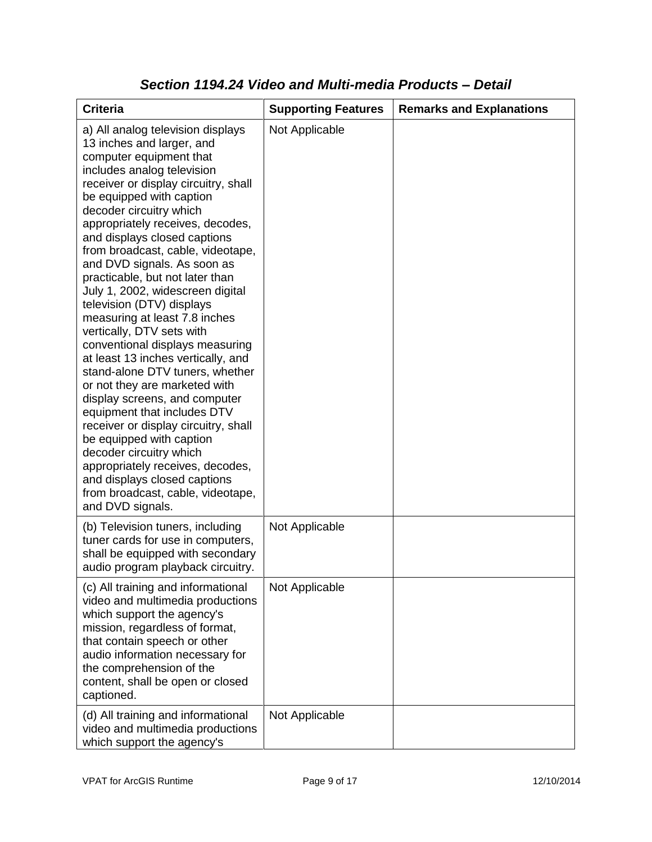| <b>Criteria</b>                                                                                                                                                                                                                                                                                                                                                                                                                                                                                                                                                                                                                                                                                                                                                                                                                                                                                                                                                           | <b>Supporting Features</b> | <b>Remarks and Explanations</b> |
|---------------------------------------------------------------------------------------------------------------------------------------------------------------------------------------------------------------------------------------------------------------------------------------------------------------------------------------------------------------------------------------------------------------------------------------------------------------------------------------------------------------------------------------------------------------------------------------------------------------------------------------------------------------------------------------------------------------------------------------------------------------------------------------------------------------------------------------------------------------------------------------------------------------------------------------------------------------------------|----------------------------|---------------------------------|
| a) All analog television displays<br>13 inches and larger, and<br>computer equipment that<br>includes analog television<br>receiver or display circuitry, shall<br>be equipped with caption<br>decoder circuitry which<br>appropriately receives, decodes,<br>and displays closed captions<br>from broadcast, cable, videotape,<br>and DVD signals. As soon as<br>practicable, but not later than<br>July 1, 2002, widescreen digital<br>television (DTV) displays<br>measuring at least 7.8 inches<br>vertically, DTV sets with<br>conventional displays measuring<br>at least 13 inches vertically, and<br>stand-alone DTV tuners, whether<br>or not they are marketed with<br>display screens, and computer<br>equipment that includes DTV<br>receiver or display circuitry, shall<br>be equipped with caption<br>decoder circuitry which<br>appropriately receives, decodes,<br>and displays closed captions<br>from broadcast, cable, videotape,<br>and DVD signals. | Not Applicable             |                                 |
| (b) Television tuners, including<br>tuner cards for use in computers,<br>shall be equipped with secondary<br>audio program playback circuitry.                                                                                                                                                                                                                                                                                                                                                                                                                                                                                                                                                                                                                                                                                                                                                                                                                            | Not Applicable             |                                 |
| (c) All training and informational<br>video and multimedia productions<br>which support the agency's<br>mission, regardless of format,<br>that contain speech or other<br>audio information necessary for<br>the comprehension of the<br>content, shall be open or closed<br>captioned.                                                                                                                                                                                                                                                                                                                                                                                                                                                                                                                                                                                                                                                                                   | Not Applicable             |                                 |
| (d) All training and informational<br>video and multimedia productions<br>which support the agency's                                                                                                                                                                                                                                                                                                                                                                                                                                                                                                                                                                                                                                                                                                                                                                                                                                                                      | Not Applicable             |                                 |

### *Section 1194.24 Video and Multi-media Products – Detail*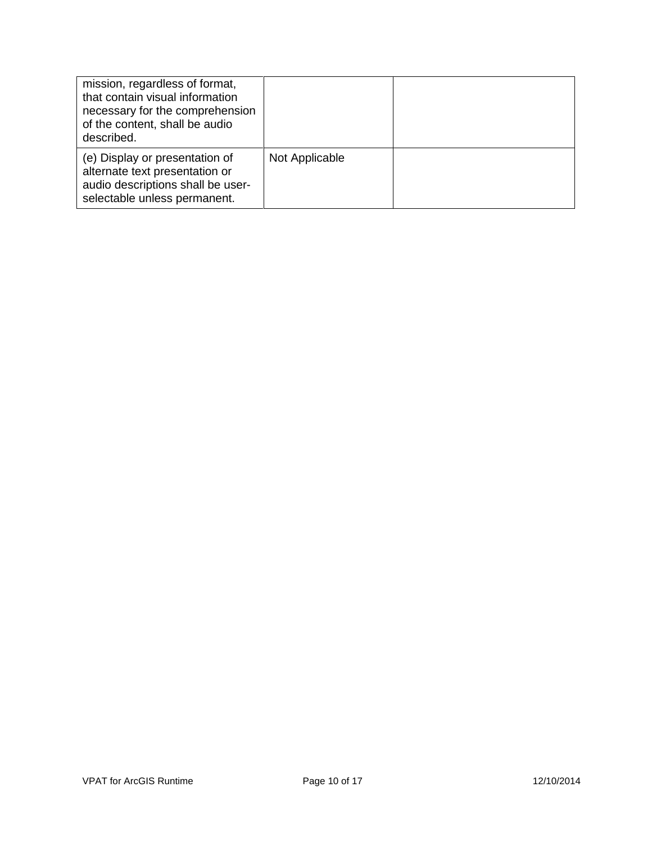| mission, regardless of format,<br>that contain visual information<br>necessary for the comprehension<br>of the content, shall be audio<br>described. |                |  |
|------------------------------------------------------------------------------------------------------------------------------------------------------|----------------|--|
| (e) Display or presentation of<br>alternate text presentation or<br>audio descriptions shall be user-<br>selectable unless permanent.                | Not Applicable |  |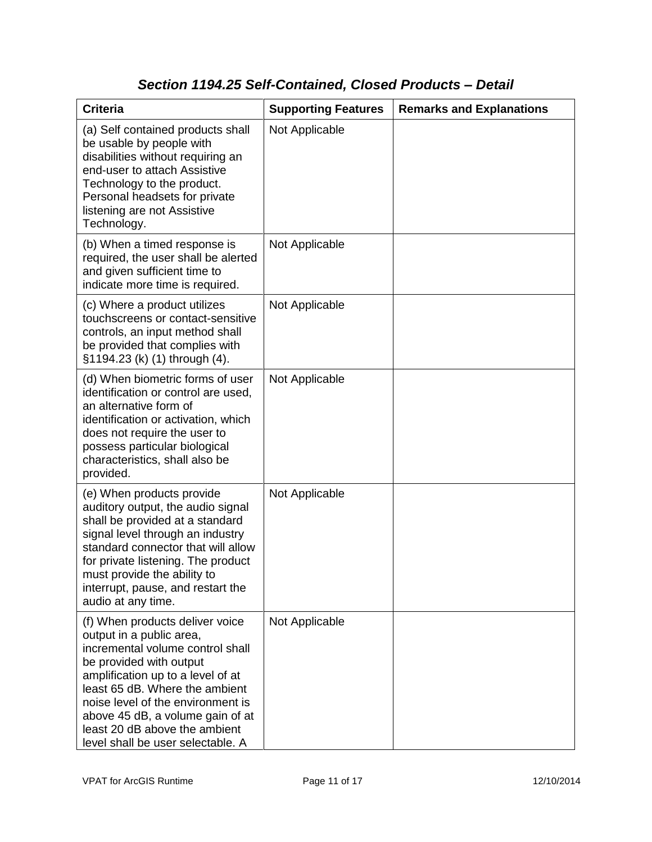## *Section 1194.25 Self-Contained, Closed Products – Detail*

| <b>Criteria</b>                                                                                                                                                                                                                                                                                                                                  | <b>Supporting Features</b> | <b>Remarks and Explanations</b> |
|--------------------------------------------------------------------------------------------------------------------------------------------------------------------------------------------------------------------------------------------------------------------------------------------------------------------------------------------------|----------------------------|---------------------------------|
| (a) Self contained products shall<br>be usable by people with<br>disabilities without requiring an<br>end-user to attach Assistive<br>Technology to the product.<br>Personal headsets for private<br>listening are not Assistive<br>Technology.                                                                                                  | Not Applicable             |                                 |
| (b) When a timed response is<br>required, the user shall be alerted<br>and given sufficient time to<br>indicate more time is required.                                                                                                                                                                                                           | Not Applicable             |                                 |
| (c) Where a product utilizes<br>touchscreens or contact-sensitive<br>controls, an input method shall<br>be provided that complies with<br>§1194.23 (k) (1) through (4).                                                                                                                                                                          | Not Applicable             |                                 |
| (d) When biometric forms of user<br>identification or control are used,<br>an alternative form of<br>identification or activation, which<br>does not require the user to<br>possess particular biological<br>characteristics, shall also be<br>provided.                                                                                         | Not Applicable             |                                 |
| (e) When products provide<br>auditory output, the audio signal<br>shall be provided at a standard<br>signal level through an industry<br>standard connector that will allow<br>for private listening. The product<br>must provide the ability to<br>interrupt, pause, and restart the<br>audio at any time.                                      | Not Applicable             |                                 |
| (f) When products deliver voice<br>output in a public area,<br>incremental volume control shall<br>be provided with output<br>amplification up to a level of at<br>least 65 dB. Where the ambient<br>noise level of the environment is<br>above 45 dB, a volume gain of at<br>least 20 dB above the ambient<br>level shall be user selectable. A | Not Applicable             |                                 |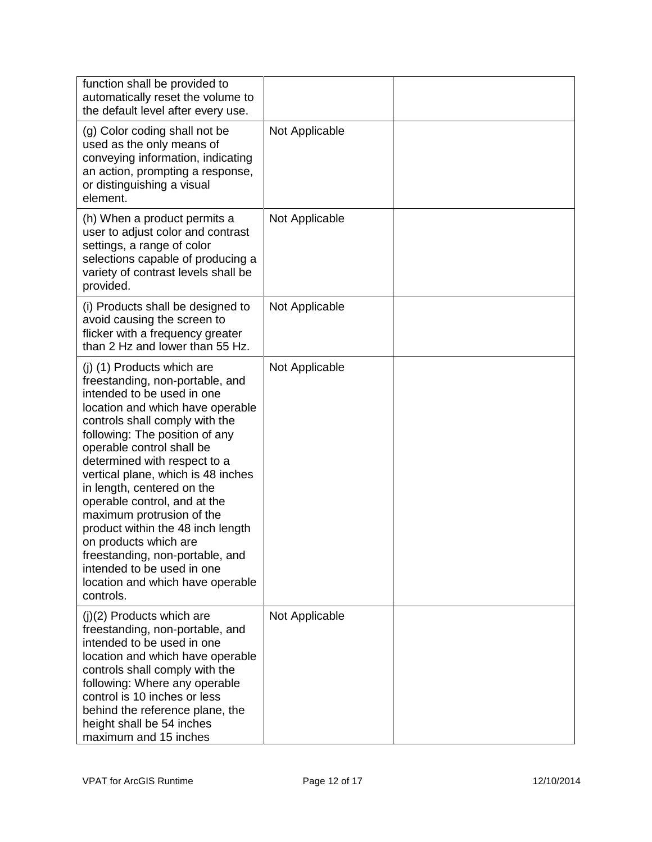| function shall be provided to<br>automatically reset the volume to<br>the default level after every use.                                                                                                                                                                                                                                                                                                                                                                                                                                                                          |                |  |
|-----------------------------------------------------------------------------------------------------------------------------------------------------------------------------------------------------------------------------------------------------------------------------------------------------------------------------------------------------------------------------------------------------------------------------------------------------------------------------------------------------------------------------------------------------------------------------------|----------------|--|
| (g) Color coding shall not be<br>used as the only means of<br>conveying information, indicating<br>an action, prompting a response,<br>or distinguishing a visual<br>element.                                                                                                                                                                                                                                                                                                                                                                                                     | Not Applicable |  |
| (h) When a product permits a<br>user to adjust color and contrast<br>settings, a range of color<br>selections capable of producing a<br>variety of contrast levels shall be<br>provided.                                                                                                                                                                                                                                                                                                                                                                                          | Not Applicable |  |
| (i) Products shall be designed to<br>avoid causing the screen to<br>flicker with a frequency greater<br>than 2 Hz and lower than 55 Hz.                                                                                                                                                                                                                                                                                                                                                                                                                                           | Not Applicable |  |
| (j) (1) Products which are<br>freestanding, non-portable, and<br>intended to be used in one<br>location and which have operable<br>controls shall comply with the<br>following: The position of any<br>operable control shall be<br>determined with respect to a<br>vertical plane, which is 48 inches<br>in length, centered on the<br>operable control, and at the<br>maximum protrusion of the<br>product within the 48 inch length<br>on products which are<br>freestanding, non-portable, and<br>intended to be used in one<br>location and which have operable<br>controls. | Not Applicable |  |
| (j)(2) Products which are<br>freestanding, non-portable, and<br>intended to be used in one<br>location and which have operable<br>controls shall comply with the<br>following: Where any operable<br>control is 10 inches or less<br>behind the reference plane, the<br>height shall be 54 inches<br>maximum and 15 inches                                                                                                                                                                                                                                                        | Not Applicable |  |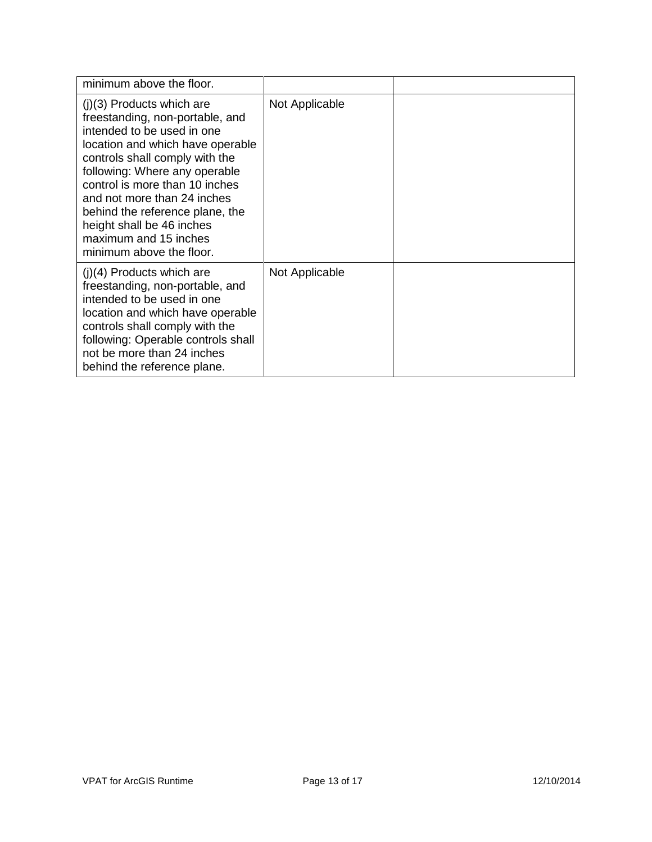| minimum above the floor.                                                                                                                                                                                                                                                                                                                                                                  |                |  |
|-------------------------------------------------------------------------------------------------------------------------------------------------------------------------------------------------------------------------------------------------------------------------------------------------------------------------------------------------------------------------------------------|----------------|--|
| $(j)(3)$ Products which are<br>freestanding, non-portable, and<br>intended to be used in one<br>location and which have operable<br>controls shall comply with the<br>following: Where any operable<br>control is more than 10 inches<br>and not more than 24 inches<br>behind the reference plane, the<br>height shall be 46 inches<br>maximum and 15 inches<br>minimum above the floor. | Not Applicable |  |
| $(i)(4)$ Products which are<br>freestanding, non-portable, and<br>intended to be used in one<br>location and which have operable<br>controls shall comply with the<br>following: Operable controls shall<br>not be more than 24 inches<br>behind the reference plane.                                                                                                                     | Not Applicable |  |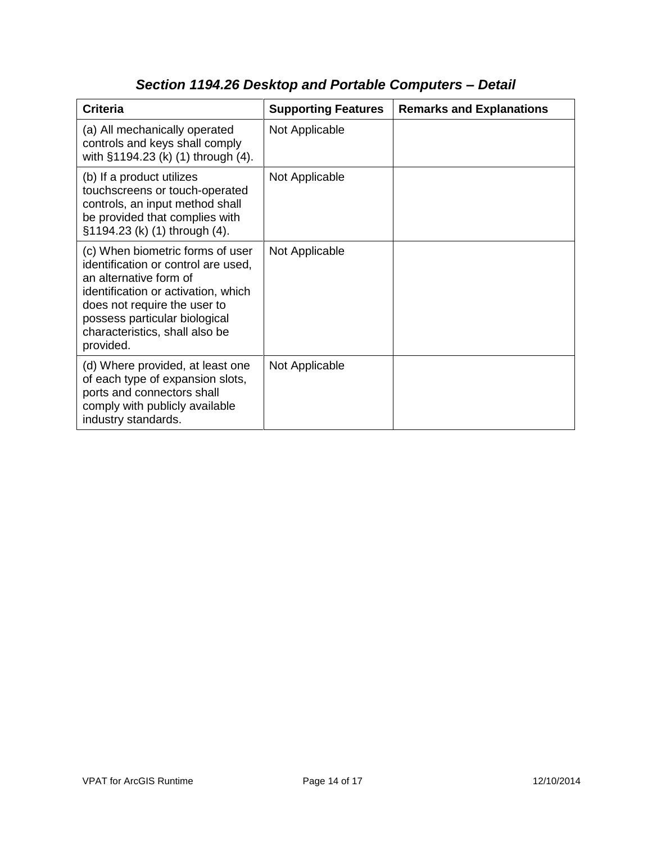| <b>Criteria</b>                                                                                                                                                                                                                                          | <b>Supporting Features</b> | <b>Remarks and Explanations</b> |
|----------------------------------------------------------------------------------------------------------------------------------------------------------------------------------------------------------------------------------------------------------|----------------------------|---------------------------------|
| (a) All mechanically operated<br>controls and keys shall comply<br>with §1194.23 (k) (1) through (4).                                                                                                                                                    | Not Applicable             |                                 |
| (b) If a product utilizes<br>touchscreens or touch-operated<br>controls, an input method shall<br>be provided that complies with<br>§1194.23 (k) (1) through (4).                                                                                        | Not Applicable             |                                 |
| (c) When biometric forms of user<br>identification or control are used,<br>an alternative form of<br>identification or activation, which<br>does not require the user to<br>possess particular biological<br>characteristics, shall also be<br>provided. | Not Applicable             |                                 |
| (d) Where provided, at least one<br>of each type of expansion slots,<br>ports and connectors shall<br>comply with publicly available<br>industry standards.                                                                                              | Not Applicable             |                                 |

# *Section 1194.26 Desktop and Portable Computers – Detail*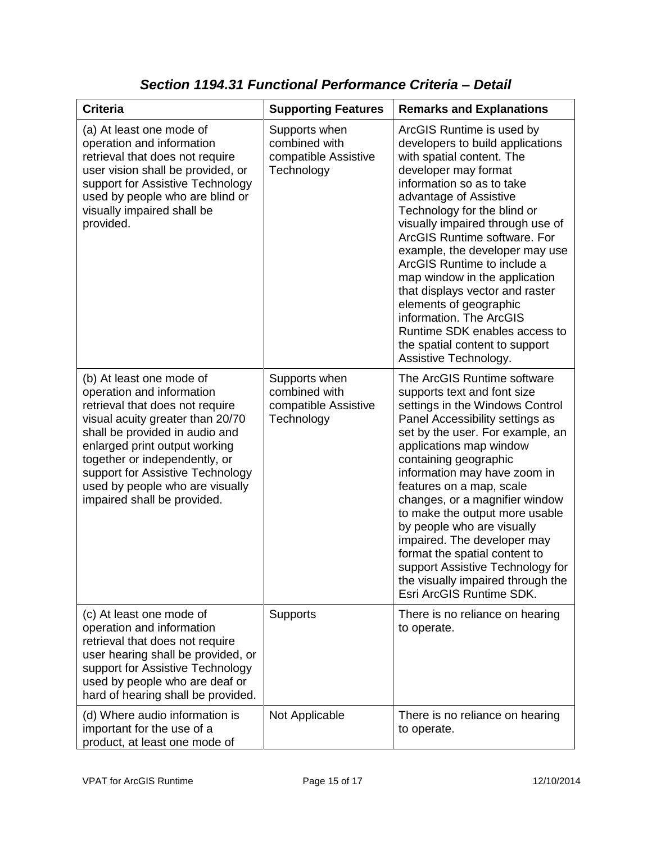| <b>Criteria</b>                                                                                                                                                                                                                                                                                                                        | <b>Supporting Features</b>                                           | <b>Remarks and Explanations</b>                                                                                                                                                                                                                                                                                                                                                                                                                                                                                                                                    |
|----------------------------------------------------------------------------------------------------------------------------------------------------------------------------------------------------------------------------------------------------------------------------------------------------------------------------------------|----------------------------------------------------------------------|--------------------------------------------------------------------------------------------------------------------------------------------------------------------------------------------------------------------------------------------------------------------------------------------------------------------------------------------------------------------------------------------------------------------------------------------------------------------------------------------------------------------------------------------------------------------|
| (a) At least one mode of<br>operation and information<br>retrieval that does not require<br>user vision shall be provided, or<br>support for Assistive Technology<br>used by people who are blind or<br>visually impaired shall be<br>provided.                                                                                        | Supports when<br>combined with<br>compatible Assistive<br>Technology | ArcGIS Runtime is used by<br>developers to build applications<br>with spatial content. The<br>developer may format<br>information so as to take<br>advantage of Assistive<br>Technology for the blind or<br>visually impaired through use of<br>ArcGIS Runtime software. For<br>example, the developer may use<br>ArcGIS Runtime to include a<br>map window in the application<br>that displays vector and raster<br>elements of geographic<br>information. The ArcGIS<br>Runtime SDK enables access to<br>the spatial content to support<br>Assistive Technology. |
| (b) At least one mode of<br>operation and information<br>retrieval that does not require<br>visual acuity greater than 20/70<br>shall be provided in audio and<br>enlarged print output working<br>together or independently, or<br>support for Assistive Technology<br>used by people who are visually<br>impaired shall be provided. | Supports when<br>combined with<br>compatible Assistive<br>Technology | The ArcGIS Runtime software<br>supports text and font size<br>settings in the Windows Control<br>Panel Accessibility settings as<br>set by the user. For example, an<br>applications map window<br>containing geographic<br>information may have zoom in<br>features on a map, scale<br>changes, or a magnifier window<br>to make the output more usable<br>by people who are visually<br>impaired. The developer may<br>format the spatial content to<br>support Assistive Technology for<br>the visually impaired through the<br>Esri ArcGIS Runtime SDK.        |
| (c) At least one mode of<br>operation and information<br>retrieval that does not require<br>user hearing shall be provided, or<br>support for Assistive Technology<br>used by people who are deaf or<br>hard of hearing shall be provided.                                                                                             | Supports                                                             | There is no reliance on hearing<br>to operate.                                                                                                                                                                                                                                                                                                                                                                                                                                                                                                                     |
| (d) Where audio information is<br>important for the use of a<br>product, at least one mode of                                                                                                                                                                                                                                          | Not Applicable                                                       | There is no reliance on hearing<br>to operate.                                                                                                                                                                                                                                                                                                                                                                                                                                                                                                                     |

*Section 1194.31 Functional Performance Criteria – Detail*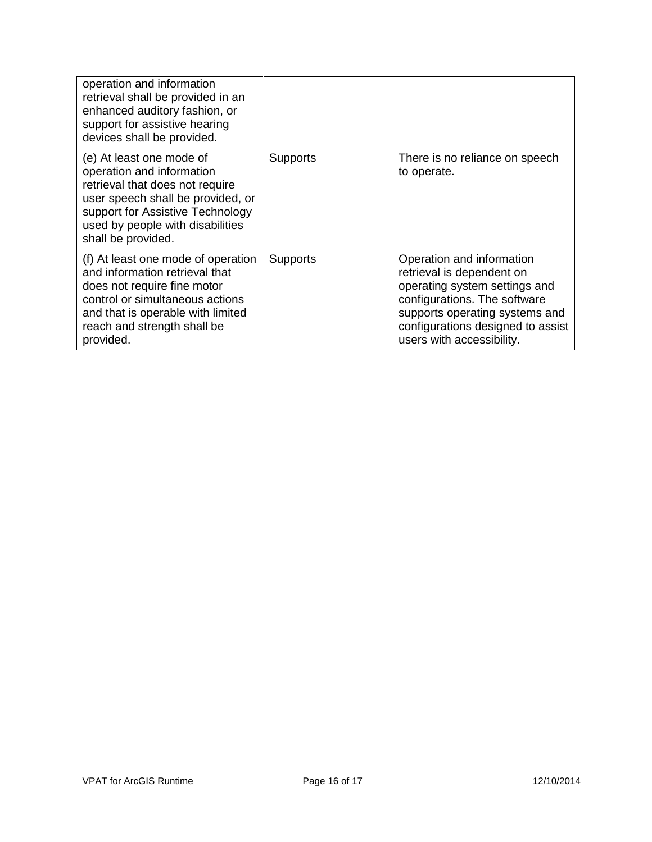| operation and information<br>retrieval shall be provided in an<br>enhanced auditory fashion, or<br>support for assistive hearing<br>devices shall be provided.                                                              |                 |                                                                                                                                                                                                                             |
|-----------------------------------------------------------------------------------------------------------------------------------------------------------------------------------------------------------------------------|-----------------|-----------------------------------------------------------------------------------------------------------------------------------------------------------------------------------------------------------------------------|
| (e) At least one mode of<br>operation and information<br>retrieval that does not require<br>user speech shall be provided, or<br>support for Assistive Technology<br>used by people with disabilities<br>shall be provided. | <b>Supports</b> | There is no reliance on speech<br>to operate.                                                                                                                                                                               |
| (f) At least one mode of operation<br>and information retrieval that<br>does not require fine motor<br>control or simultaneous actions<br>and that is operable with limited<br>reach and strength shall be<br>provided.     | <b>Supports</b> | Operation and information<br>retrieval is dependent on<br>operating system settings and<br>configurations. The software<br>supports operating systems and<br>configurations designed to assist<br>users with accessibility. |